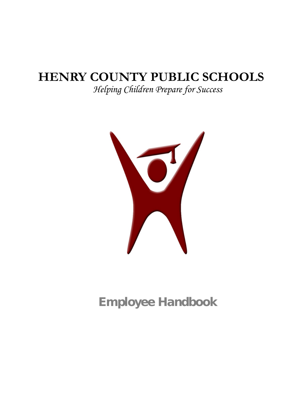# **HENRY COUNTY PUBLIC SCHOOLS**

*Helping Children Prepare for Success*



Employee Handbook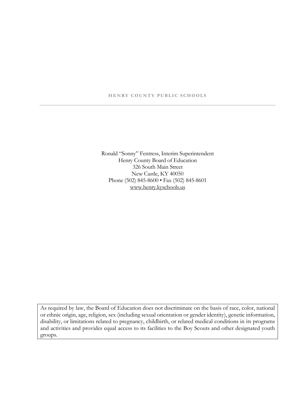#### **HENRY COUNTY PUBLIC SCHOOLS**

Ronald "Sonny" Fentress, Interim Superintendent Henry County Board of Education 326 South Main Street New Castle, KY 40050 Phone (502) 845-8600 • Fax (502) 845-8601 [www.henry.kyschools.us](http://www.xyzschools.edu/)

As required by law, the Board of Education does not discriminate on the basis of race, color, national or ethnic origin, age, religion, sex (including sexual orientation or gender identity), genetic information, disability, or limitations related to pregnancy, childbirth, or related medical conditions in its programs and activities and provides equal access to its facilities to the Boy Scouts and other designated youth groups.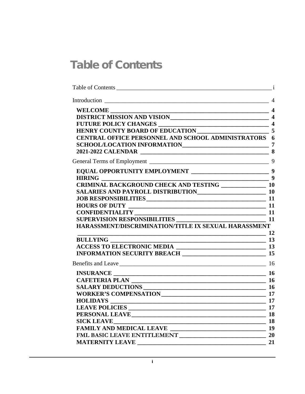# <span id="page-2-0"></span>Table of Contents

| <b>CENTRAL OFFICE PERSONNEL AND SCHOOL ADMINISTRATORS 6</b>                                                                     |    |
|---------------------------------------------------------------------------------------------------------------------------------|----|
|                                                                                                                                 |    |
| $\frac{1}{2}$ 9                                                                                                                 |    |
| SALARIES AND PAYROLL DISTRIBUTION<br>10                                                                                         |    |
|                                                                                                                                 |    |
| $CONFIDENTIALITY 11 11 11 11 11 11 11 11 11 11 11 11 11 11 11 11 11 11 11 11 11 11 11 11 11 11 SUPERVISION RESPONSIBILITIES 11$ |    |
| HARASSMENT/DISCRIMINATION/TITLE IX SEXUAL HARASSMENT<br>$\sim$ 12                                                               |    |
|                                                                                                                                 |    |
|                                                                                                                                 |    |
|                                                                                                                                 |    |
|                                                                                                                                 |    |
|                                                                                                                                 |    |
| $HOLIDAYS$ $17$<br><b>LEAVE POLICIES</b>                                                                                        |    |
| <b>SICK LEAVE</b>                                                                                                               | 18 |
|                                                                                                                                 |    |
|                                                                                                                                 | 21 |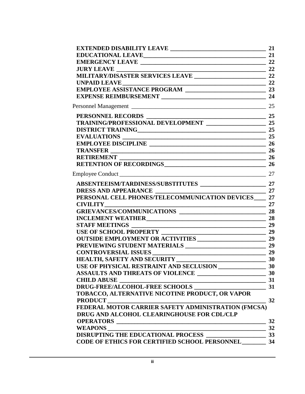|                                                                                                             | 21 |
|-------------------------------------------------------------------------------------------------------------|----|
|                                                                                                             |    |
|                                                                                                             |    |
| <b>JURY LEAVE</b> 22                                                                                        |    |
|                                                                                                             |    |
|                                                                                                             |    |
|                                                                                                             |    |
|                                                                                                             |    |
|                                                                                                             |    |
|                                                                                                             |    |
| PERSONNEL RECORDS<br>TRAINING/PROFESSIONAL DEVELOPMENT<br>25<br>25                                          |    |
| DISTRICT TRAINING<br>25                                                                                     |    |
|                                                                                                             |    |
|                                                                                                             |    |
|                                                                                                             |    |
|                                                                                                             |    |
| RETENTION OF RECORDINGS 26                                                                                  |    |
| Employee Conduct 27                                                                                         |    |
|                                                                                                             |    |
|                                                                                                             |    |
| PERSONAL CELL PHONES/TELECOMMUNICATION DEVICES 27                                                           |    |
| $\frac{1}{2}$ 27                                                                                            |    |
|                                                                                                             |    |
| <b>INCLEMENT WEATHER</b> 28                                                                                 |    |
| <b>STAFF MEETINGS</b><br>$\overline{\phantom{a}}$ 29                                                        |    |
|                                                                                                             |    |
| <b>OUTSIDE EMPLOYMENT OR ACTIVITIES 29</b>                                                                  |    |
|                                                                                                             |    |
|                                                                                                             |    |
| HEALTH, SAFETY AND SECURITY<br>USE OF PHYSICAL RESTRAINT AND SECLUSION 30                                   |    |
|                                                                                                             |    |
|                                                                                                             |    |
|                                                                                                             |    |
|                                                                                                             |    |
| CHILD ABUSE<br>DRUG-FREE/ALCOHOL-FREE SCHOOLS<br>TOBACCO, ALTERNATIVE NICOTINE PRODUCT, OR VAPOR<br>PRODUCT |    |
| <b>PRODUCT</b>                                                                                              | 32 |
| FEDERAL MOTOR CARRIER SAFETY ADMINISTRATION (FMCSA)                                                         |    |
| DRUG AND ALCOHOL CLEARINGHOUSE FOR CDL/CLP                                                                  |    |
| OPERATORS                                                                                                   | 32 |
|                                                                                                             |    |
|                                                                                                             |    |
| <b>CODE OF ETHICS FOR CERTIFIED SCHOOL PERSONNEL 34</b>                                                     |    |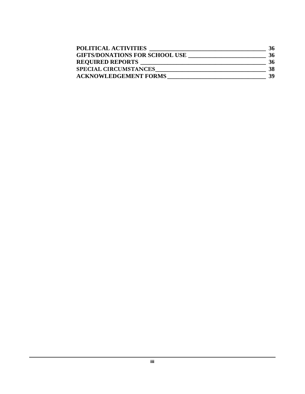| <b>POLITICAL ACTIVITIES</b>           | 36 |
|---------------------------------------|----|
| <b>GIFTS/DONATIONS FOR SCHOOL USE</b> | 36 |
| <b>REQUIRED REPORTS</b>               | 36 |
| <b>SPECIAL CIRCUMSTANCES</b>          | 38 |
| <b>ACKNOWLEDGEMENT FORMS</b>          | 39 |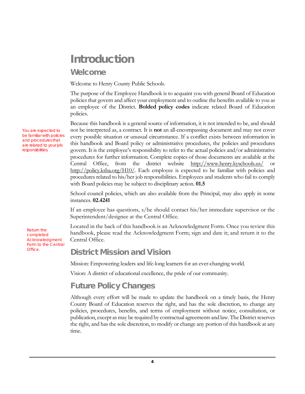# <span id="page-5-0"></span>Introduction

#### <span id="page-5-1"></span>Welcome

Welcome to Henry County Public Schools.

The purpose of the Employee Handbook is to acquaint you with general Board of Education policies that govern and affect your employment and to outline the benefits available to you as an employee of the District. **Bolded policy codes** indicate related Board of Education policies.

Because this handbook is a general source of information, it is not intended to be, and should not be interpreted as, a contract. It is **not** an all-encompassing document and may not cover every possible situation or unusual circumstance. If a conflict exists between information in this handbook and Board policy or administrative procedures, the policies and procedures govern. It is the employee's responsibility to refer to the actual policies and/or administrative procedures for further information. Complete copies of those documents are available at the Central Office, from the district website [http://www.henry.kyschools.us/](http://www.henry.k12.ky.us/) [http://policy.ksba.org/H10/.](http://policy.ksba.org/H10/) Each employee is expected to be familiar with policies and procedures related to his/her job responsibilities. Employees and students who fail to comply with Board policies may be subject to disciplinary action. **01.5**

School council policies, which are also available from the Principal, may also apply in some instances. **02.4241**

If an employee has questions, s/he should contact his/her immediate supervisor or the Superintendent/designee at the Central Office.

Located in the back of this handbook is an Acknowledgment Form. Once you review this handbook, please read the Acknowledgment Form; sign and date it; and return it to the Central Office.

#### District Mission and Vision

Mission: Empowering leaders and life-long learners for an ever-changing world.

Vision: A district of educational excellence, the pride of our community.

### <span id="page-5-3"></span>Future Policy Changes

Although every effort will be made to update the handbook on a timely basis, the Henry County Board of Education reserves the right, and has the sole discretion, to change any policies, procedures, benefits, and terms of employment without notice, consultation, or publication, except as may be required by contractual agreements and law. The District reserves the right, and has the sole discretion, to modify or change any portion of this handbook at any time.

You are expected to be familiar with policies and procedures that are related to your job responsibilities.

> <span id="page-5-2"></span>Return the completed Acknowledgment Form to the Central Office.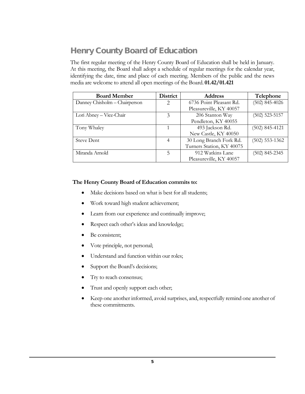## <span id="page-6-0"></span>Henry County Board of Education

The first regular meeting of the Henry County Board of Education shall be held in January. At this meeting, the Board shall adopt a schedule of regular meetings for the calendar year, identifying the date, time and place of each meeting. Members of the public and the news media are welcome to attend all open meetings of the Board. **01.42/01.421**

| <b>Board Member</b>           | District              | <b>Address</b>            | Telephone        |
|-------------------------------|-----------------------|---------------------------|------------------|
| Danney Chisholm – Chairperson | $\mathcal{D}_{\cdot}$ | 6736 Point Pleasant Rd.   | $(502)$ 845-4026 |
|                               |                       | Pleasureville, KY 40057   |                  |
| Lori Abney - Vice-Chair       | 3                     | 206 Stanton Way           | $(502)$ 523-5157 |
|                               |                       | Pendleton, KY 40055       |                  |
| Tony Whaley                   |                       | 493 Jackson Rd.           | $(502)$ 845-4121 |
|                               |                       | New Castle, KY 40050      |                  |
| <b>Steve Dent</b>             | 4                     | 30 Long Branch Fork Rd.   | $(502)$ 553-1362 |
|                               |                       | Turners Station, KY 40075 |                  |
| Miranda Arnold                | 5                     | 912 Watkins Lane          | $(502)$ 845-2345 |
|                               |                       | Pleasureville, KY 40057   |                  |

#### **The Henry County Board of Education commits to:**

- Make decisions based on what is best for all students;
- Work toward high student achievement;
- Learn from our experience and continually improve;
- Respect each other's ideas and knowledge;
- Be consistent;
- Vote principle, not personal;
- Understand and function within our roles;
- Support the Board's decisions;
- Try to reach consensus;
- Trust and openly support each other;
- Keep one another informed, avoid surprises, and, respectfully remind one another of these commitments.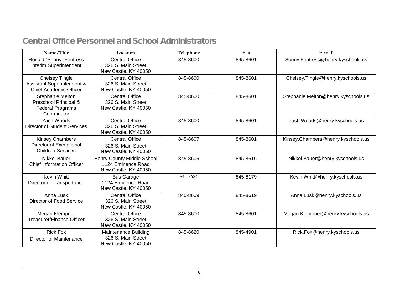## Central Office Personnel and School Administrators

<span id="page-7-0"></span>

| Name/Title                                                                           | Location                                                                  | Telephone | Fax      | E-mail                              |
|--------------------------------------------------------------------------------------|---------------------------------------------------------------------------|-----------|----------|-------------------------------------|
| Ronald "Sonny" Fentress<br>Interim Superintendent                                    | <b>Central Office</b><br>326 S. Main Street<br>New Castle, KY 40050       | 845-8600  | 845-8601 | Sonny.Fentress@henry.kyschools.us   |
| <b>Chelsey Tingle</b><br>Assistant Superintendent &<br><b>Chief Academic Officer</b> | <b>Central Office</b><br>326 S. Main Street<br>New Castle, KY 40050       | 845-8600  | 845-8601 | Chelsey.Tingle@henry.kyschools.us   |
| Stephanie Melton<br>Preschool Principal &<br><b>Federal Programs</b><br>Coordinator  | <b>Central Office</b><br>326 S. Main Street<br>New Castle, KY 40050       | 845-8600  | 845-8601 | Stephanie.Melton@henry.kyschools.us |
| Zach Woods<br><b>Director of Student Services</b>                                    | <b>Central Office</b><br>326 S. Main Street<br>New Castle, KY 40050       | 845-8600  | 845-8601 | Zach.Woods@henry.kyschools.us       |
| <b>Kinsey Chambers</b><br>Director of Exceptional<br><b>Children Services</b>        | <b>Central Office</b><br>326 S. Main Street<br>New Castle, KY 40050       | 845-8607  | 845-8601 | Kinsey.Chambers@henry.kyschools.us  |
| <b>Nikkol Bauer</b><br><b>Chief Information Officer</b>                              | Henry County Middle School<br>1124 Eminence Road<br>New Castle, KY 40050  | 845-8606  | 845-8616 | Nikkol.Bauer@henry.kyschools.us     |
| <b>Kevin Whitt</b><br>Director of Transportation                                     | <b>Bus Garage</b><br>1124 Eminence Road<br>New Castle, KY 40050           | 845-8624  | 845-8179 | Kevin.Whitt@henry.kyschools.us      |
| Anna Lusk<br>Director of Food Service                                                | <b>Central Office</b><br>326 S. Main Street<br>New Castle, KY 40050       | 845-8609  | 845-8619 | Anna.Lusk@henry.kyschools.us        |
| Megan Klempner<br><b>Treasurer/Finance Officer</b>                                   | <b>Central Office</b><br>326 S. Main Street<br>New Castle, KY 40050       | 845-8600  | 845-8601 | Megan.Klempner@henry.kyschools.us   |
| <b>Rick Fox</b><br>Director of Maintenance                                           | <b>Maintenance Building</b><br>326 S. Main Street<br>New Castle, KY 40050 | 845-8620  | 845-4901 | Rick.Fox@henry.kyschools.us         |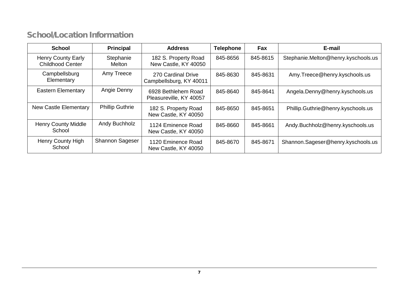## School/Location Information

<span id="page-8-0"></span>

| <b>School</b>                                        | <b>Principal</b>       | <b>Address</b>                                 | <b>Telephone</b> | Fax      | E-mail                              |
|------------------------------------------------------|------------------------|------------------------------------------------|------------------|----------|-------------------------------------|
| <b>Henry County Early</b><br><b>Childhood Center</b> | Stephanie<br>Melton    | 182 S. Property Road<br>New Castle, KY 40050   | 845-8656         | 845-8615 | Stephanie.Melton@henry.kyschools.us |
| Campbellsburg<br>Elementary                          | Amy Treece             | 270 Cardinal Drive<br>Campbellsburg, KY 40011  | 845-8630         | 845-8631 | Amy.Treece@henry.kyschools.us       |
| <b>Eastern Elementary</b>                            | Angie Denny            | 6928 Bethlehem Road<br>Pleasureville, KY 40057 | 845-8640         | 845-8641 | Angela.Denny@henry.kyschools.us     |
| <b>New Castle Elementary</b>                         | <b>Phillip Guthrie</b> | 182 S. Property Road<br>New Castle, KY 40050   | 845-8650         | 845-8651 | Phillip.Guthrie@henry.kyschools.us  |
| <b>Henry County Middle</b><br>School                 | Andy Buchholz          | 1124 Eminence Road<br>New Castle, KY 40050     | 845-8660         | 845-8661 | Andy.Buchholz@henry.kyschools.us    |
| Henry County High<br>School                          | <b>Shannon Sageser</b> | 1120 Eminence Road<br>New Castle, KY 40050     | 845-8670         | 845-8671 | Shannon.Sageser@henry.kyschools.us  |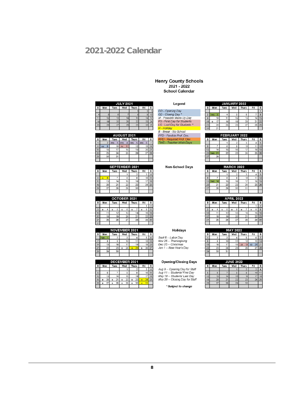## <span id="page-9-0"></span>2021-2022 Calendar

#### Henry County Schools<br>2021 - 2022 **School Calendar**

| <b>JULY 2021</b> |     |             |     |              |     |   |  |  |  |  |  |  |
|------------------|-----|-------------|-----|--------------|-----|---|--|--|--|--|--|--|
| s                | Mon | <b>Tues</b> | Wed | <b>Thurs</b> | Fri | s |  |  |  |  |  |  |
|                  |     |             |     |              |     | 3 |  |  |  |  |  |  |
|                  |     |             |     |              |     |   |  |  |  |  |  |  |
|                  |     | 13          |     |              |     |   |  |  |  |  |  |  |
| 8                | 19  | 20          |     |              |     |   |  |  |  |  |  |  |
| 25               | 26  | 27          | 28  | 29           | з   |   |  |  |  |  |  |  |

|    | <b>AUGUST 2021</b> |          |              |          |          |  |  |  |  |  |  |  |  |
|----|--------------------|----------|--------------|----------|----------|--|--|--|--|--|--|--|--|
| s  | Wed<br>Mon<br>Tues |          | <b>Thurs</b> | Fri      | s        |  |  |  |  |  |  |  |  |
|    | $\overline{2}$     | 3<br>FPD | FPD          | 5<br>FPD | 6<br>FPD |  |  |  |  |  |  |  |  |
| 8  | 9<br>CD            | 10       | FS           | 12       | 13       |  |  |  |  |  |  |  |  |
| 15 | 16                 |          | 18           | 19       | 20       |  |  |  |  |  |  |  |  |
| a  | 23                 |          | 25           | 26       | 21       |  |  |  |  |  |  |  |  |
| 29 | 30                 | 31       |              |          |          |  |  |  |  |  |  |  |  |
|    |                    |          |              |          |          |  |  |  |  |  |  |  |  |

|    | <b>SEPTEMBER 2021</b> |             |     |              |     |   |  |  |  |  |  |  |  |
|----|-----------------------|-------------|-----|--------------|-----|---|--|--|--|--|--|--|--|
| S  | Mon                   | <b>Tues</b> | Wed | <b>Thurs</b> | Fri | s |  |  |  |  |  |  |  |
|    |                       |             |     | 2            | 3   |   |  |  |  |  |  |  |  |
| 5  | 6<br>н                |             | 8   | 9            | 10  |   |  |  |  |  |  |  |  |
| 12 | 13                    |             | 15  | 16           | 1   |   |  |  |  |  |  |  |  |
| 19 | 20                    | 21          | 22  | 23           | 24  |   |  |  |  |  |  |  |  |
| 26 | 27                    | 28          | 29  | 30           |     |   |  |  |  |  |  |  |  |
|    |                       |             |     |              |     |   |  |  |  |  |  |  |  |

|    |     |    |             | OCTOBER 2021 |     |    |       |     |    |    |
|----|-----|----|-------------|--------------|-----|----|-------|-----|----|----|
| s  | Mon |    | <b>Tues</b> |              | Wed |    | Thurs | Fri |    |    |
|    |     |    |             |              |     |    |       |     |    |    |
| ٩  | R   |    |             | 5            | B   | 6  |       |     | 8  | ۵  |
| 10 |     |    |             | 12           |     | 13 |       |     | 15 | 16 |
|    |     | 18 |             | 19           |     | 20 |       |     | 22 | 23 |
|    |     | 25 |             | 26           |     | 27 | 28    |     |    | 30 |
|    |     |    |             |              |     |    |       |     |    |    |

|    | <b>NOVEMBER 2021</b> |      |         |              |     |   |  |  |  |  |  |  |  |  |
|----|----------------------|------|---------|--------------|-----|---|--|--|--|--|--|--|--|--|
| s  | Mon                  | Tues | Wed     | <b>Thurs</b> | Fri | s |  |  |  |  |  |  |  |  |
|    | w                    |      | 3       |              | 6   | 6 |  |  |  |  |  |  |  |  |
|    | 8                    | 9    | 10      |              |     |   |  |  |  |  |  |  |  |  |
|    | 15                   | 16   | 17      | 18           | 12  |   |  |  |  |  |  |  |  |  |
|    | 22                   | 23   | 24<br>B | 25<br>R      | B   |   |  |  |  |  |  |  |  |  |
| 28 | 29                   | 30   |         |              |     |   |  |  |  |  |  |  |  |  |
|    |                      |      |         |              |     |   |  |  |  |  |  |  |  |  |

|    | DECEMBER 2021 |    |   |             |     |    |   |              |     |   |    |  |  |  |
|----|---------------|----|---|-------------|-----|----|---|--------------|-----|---|----|--|--|--|
| s  | Mon           |    |   | <b>Tues</b> | Wed |    |   | <b>Thurs</b> | Fri |   | s  |  |  |  |
|    |               |    |   |             |     |    |   | 2            |     | 3 |    |  |  |  |
|    |               | 6  |   |             |     | 8  |   | 9            |     |   |    |  |  |  |
|    |               | 13 |   |             |     | 15 |   | 16           |     | ı |    |  |  |  |
| 19 | B             | 20 | 肩 | 21          | 戸   | 22 | B | 23           | н   | 2 | 25 |  |  |  |
| 26 | B             | 27 |   | 28          | B   | 29 | B | 30           | н   |   |    |  |  |  |
|    |               |    |   |             |     |    |   |              |     |   |    |  |  |  |

| Legend                       |
|------------------------------|
| OD - Opening Day             |
| CD - Closing Day             |
| M - Possible Make-Up Day     |
| FS - First Day for Students  |
| LS - Last Day for Students * |
| H - Holiday                  |
| B - Break - No School        |
| FPD - Flexible Prof. Dev.    |
| RPD - Required Prof. Dev.    |
| TWD - Teacher Work Days      |

Non-School Days

| JANUARY 2022 |     |    |             |     |              |     |   |
|--------------|-----|----|-------------|-----|--------------|-----|---|
| S            | Mon |    | <b>Tues</b> | Wed | <b>Thurs</b> | Fri | s |
|              |     |    |             |     |              |     |   |
|              | WD  | з  |             |     | 6            |     | 8 |
| ۰            |     | 10 |             | 12  | 13           |     |   |
| 6            |     |    | 18          | 19  | 20           | 2   |   |
| 23           |     |    | 25          | 26  | 27           | 28  |   |
| ۰            |     | 31 |             |     |              |     |   |

| <b>FEBRUARY 2022</b> |           |             |     |       |     |   |  |  |  |
|----------------------|-----------|-------------|-----|-------|-----|---|--|--|--|
| s                    | Mon       | <b>Tues</b> | Wed | Thurs | Fri | s |  |  |  |
|                      |           |             |     | з     |     |   |  |  |  |
| 6                    |           | 8           | 9   | 10    |     |   |  |  |  |
| 13                   | 4         | 15          | 16  |       | 18  |   |  |  |  |
| 20                   | <b>AD</b> | 22          | 23  |       | 2   |   |  |  |  |
| 27                   | 28        |             |     |       |     |   |  |  |  |
|                      |           |             |     |       |     |   |  |  |  |

| <b>MARCH 2022</b> |                                           |    |                |    |    |    |  |  |
|-------------------|-------------------------------------------|----|----------------|----|----|----|--|--|
| s                 | Wed<br>Mon<br><b>Tues</b><br>Fri<br>Thurs |    |                |    |    |    |  |  |
|                   |                                           |    | $\overline{2}$ | 3  |    | 5  |  |  |
| 6                 |                                           | 8  |                | 10 |    |    |  |  |
| 13                | <b>MD</b>                                 | 15 | 16             |    | 18 | 19 |  |  |
| 20                | 21                                        | 22 | 23             | 24 | 25 | 26 |  |  |
| 27                | 28                                        | 29 | 30             | 31 |    |    |  |  |
|                   |                                           |    |                |    |    |    |  |  |

| <b>APRIL 2022</b> |     |                 |  |                 |     |    |   |       |   |     |    |
|-------------------|-----|-----------------|--|-----------------|-----|----|---|-------|---|-----|----|
| s                 | Mon |                 |  | <b>Tues</b>     | Wed |    |   | Thurs |   | Fri | s  |
|                   |     |                 |  |                 |     |    |   |       |   |     |    |
| $\overline{3}$    | B   |                 |  | 5               | B   | 6  | B |       | B | 8   | 9  |
| 10                |     |                 |  | 12              |     | 13 |   |       |   | 15  | 16 |
| 17                |     | 18 <sup>1</sup> |  | 19 <sup>r</sup> |     | 20 |   | 21    |   | 22  | 23 |
| 24                |     | 25              |  | 26              |     | 27 |   | 28    |   | 29  | 30 |
|                   |     |                 |  |                 |     |    |   |       |   |     |    |

| <b>MAY 2022</b> |     |      |     |          |          |    |  |  |  |
|-----------------|-----|------|-----|----------|----------|----|--|--|--|
| S               | Mon | Tues | Wed | Thurs    | Fri      | s  |  |  |  |
|                 | 2   | 3    |     | 5        | 6        |    |  |  |  |
| 8               | 9   | 10   |     | 12       | 13       |    |  |  |  |
| 15              | 16  | 7    | 18  | 19<br>LS | 20<br>CD |    |  |  |  |
| 22              | 23  | 24   | 25  | 26       | 27       | 28 |  |  |  |
| 29              | 30  | 31   |     |          |          |    |  |  |  |
|                 |     |      |     |          |          |    |  |  |  |

| <b>JUNE 2022</b> |     |             |     |       |                |   |
|------------------|-----|-------------|-----|-------|----------------|---|
| s                | Mon | <b>Tues</b> | Wed | Thurs | Fri            | s |
|                  |     |             |     |       | 3              |   |
|                  | 6   |             | 8   | 9     | 10             |   |
|                  | 13  |             | 15  | 16    |                |   |
| 19               | 20  | 21          | 22  | 23    | $\overline{2}$ | 2 |
| 26               | 27  | 28          | 29  | 30    |                |   |
|                  |     |             |     |       |                |   |

#### **Holidays**

Sept 6 -- Labor Day<br>Nov 25 -- Thanksgiving<br>Dec 25 -- Christmas<br>Jan 1 -- New Year's Day

#### **Opening/Closing Days**

Aug 9 -- Opening Day for Staff<br>Aug 11 -- Students' First Day<br>May 19 -- Students' Last Day<br>May 20 -- Closing Day for Staff

\* Subject to change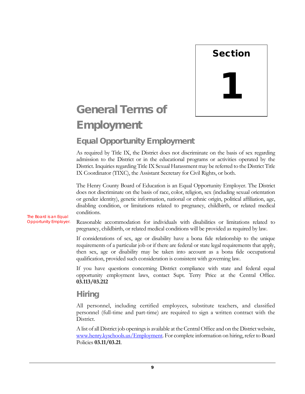

# <span id="page-10-0"></span>General Terms of **Employment**

## <span id="page-10-1"></span>Equal Opportunity Employment

As required by Title IX, the District does not discriminate on the basis of sex regarding admission to the District or in the educational programs or activities operated by the District. Inquiries regarding Title IX Sexual Harassment may be referred to the District Title IX Coordinator (TIXC), the Assistant Secretary for Civil Rights, or both.

The Henry County Board of Education is an Equal Opportunity Employer. The District does not discriminate on the basis of race, color, religion, sex (including sexual orientation or gender identity), genetic information, national or ethnic origin, political affiliation, age, disabling condition, or limitations related to pregnancy, childbirth, or related medical conditions.

The Board is an Equal Opportunity Employer.

Reasonable accommodation for individuals with disabilities or limitations related to pregnancy, childbirth, or related medical conditions will be provided as required by law.

If considerations of sex, age or disability have a bona fide relationship to the unique requirements of a particular job or if there are federal or state legal requirements that apply, then sex, age or disability may be taken into account as a bona fide occupational qualification, provided such consideration is consistent with governing law.

If you have questions concerning District compliance with state and federal equal opportunity employment laws, contact Supt. Terry Price at the Central Office. **03.113/03.212**

#### <span id="page-10-2"></span>Hiring

All personnel, including certified employees, substitute teachers, and classified personnel (full-time and part-time) are required to sign a written contract with the District.

A list of all District job openings is available at the Central Office and on the District website, [www.henry.kyschools.us/Employment.](http://www.henry.kyschools.us/Employment) For complete information on hiring, refer to Board Policies **03.11/03.21**.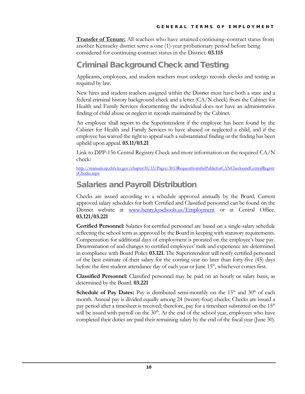**Transfer of Tenure:** All teachers who have attained continuing–contract status from another Kentucky district serve a one (1)-year probationary period before being considered for continuing-contract status in the District. **03.115**

## <span id="page-11-0"></span>Criminal Background Check and Testing

Applicants, employees, and student teachers must undergo records checks and testing as required by law.

New hires and student teachers assigned within the District must have both a state and a federal criminal history background check and a letter (CA/N check) from the Cabinet for Health and Family Services documenting the individual does not have an administrative finding of child abuse or neglect in records maintained by the Cabinet.

An employee shall report to the Superintendent if the employee has been found by the Cabinet for Health and Family Services to have abused or neglected a child, and if the employee has waived the right to appeal such a substantiated finding or the finding has been upheld upon appeal. **03.11/03.21**

Link to DPP-156 Central Registry Check and more information on the required CA/N check:

[http://manuals.sp.chfs.ky.gov/chapter30/33/Pages/3013RequestfromthePublicforCANChecksandCentralRegistr](http://manuals.sp.chfs.ky.gov/chapter30/33/Pages/3013RequestfromthePublicforCANChecksandCentralRegistryChecks.aspx) [yChecks.aspx](http://manuals.sp.chfs.ky.gov/chapter30/33/Pages/3013RequestfromthePublicforCANChecksandCentralRegistryChecks.aspx)

## <span id="page-11-1"></span>Salaries and Payroll Distribution

Checks are issued according to a schedule approved annually by the Board. Current approved salary schedules for both Certified and Classified personnel can be found on the District website at [www.henry.kyschools.us/Employment](http://www.henry.kyschools.us/Employment) or at Central Office. **03.121/03.221**

**Certified Personnel:** Salaries for certified personnel are based on a single-salary schedule reflecting the school term as approved by the Board in keeping with statutory requirements. Compensation for additional days of employment is prorated on the employee's base pay. Determination of and changes to certified employees' rank and experience are determined in compliance with Board Policy **03.121**. The Superintendent will notify certified personnel of the best estimate of their salary for the coming year no later than forty-five (45) days before the first student attendance day of each year or June  $15<sup>th</sup>$ , whichever comes first.

**Classified Personnel:** Classified personnel may be paid on an hourly or salary basis, as determined by the Board. **03.221**

**Schedule of Pay Dates:** Pay is distributed semi-monthly on the  $15<sup>th</sup>$  and  $30<sup>th</sup>$  of each month. Annual pay is divided equally among 24 (twenty-four) checks. Checks are issued a pay period after a timesheet is received; therefore, pay for a timesheet submitted on the 15<sup>th</sup> will be issued with payroll on the  $30<sup>th</sup>$ . At the end of the school year, employees who have completed their duties are paid their remaining salary by the end of the fiscal year (June 30).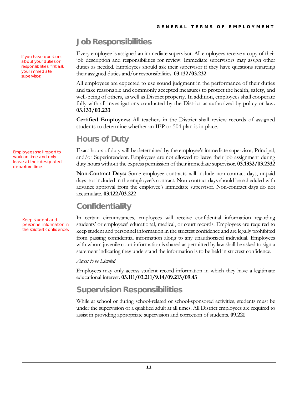## <span id="page-12-0"></span>Job Responsibilities

Every employee is assigned an immediate supervisor. All employees receive a copy of their job description and responsibilities for review. Immediate supervisors may assign other duties as needed. Employees should ask their supervisor if they have questions regarding their assigned duties and/or responsibilities. **03.132/03.232**

All employees are expected to use sound judgment in the performance of their duties and take reasonable and commonly accepted measures to protect the health, safety, and well-being of others, as well as District property**.** In addition, employees shall cooperate fully with all investigations conducted by the District as authorized by policy or law**. 03.133/03.233**

**Certified Employees:** All teachers in the District shall review records of assigned students to determine whether an IEP or 504 plan is in place.

### <span id="page-12-1"></span>Hours of Duty

Exact hours of duty will be determined by the employee's immediate supervisor, Principal, and/or Superintendent. Employees are not allowed to leave their job assignment during duty hours without the express permission of their immediate supervisor. **03.1332/03.2332**

**Non-Contract Days:** Some employee contracts will include non-contract days, unpaid days not included in the employee's contract. Non-contract days should be scheduled with advance approval from the employee's immediate supervisor. Non-contract days do not accumulate. **03.122/03.222**

## <span id="page-12-2"></span>**Confidentiality**

In certain circumstances, employees will receive confidential information regarding students' or employees' educational, medical, or court records. Employees are required to keep student and personnel information in the strictest confidence and are legally prohibited from passing confidential information along to any unauthorized individual. Employees with whom juvenile court information is shared as permitted by law shall be asked to sign a statement indicating they understand the information is to be held in strictest confidence.

#### *Access to be Limited*

Employees may only access student record information in which they have a legitimate educational interest. **03.111/03.211/9.14/09.213/09.43**

## <span id="page-12-3"></span>Supervision Responsibilities

While at school or during school-related or school-sponsored activities, students must be under the supervision of a qualified adult at all times. All District employees are required to assist in providing appropriate supervision and correction of students. **09.221**

If you have questions about your duties or responsibilities, first ask your immediate supervisor.

Employees shall report to work on time and only leave at their designated departure time.

> Keep student and personnel information in the strictest confidence.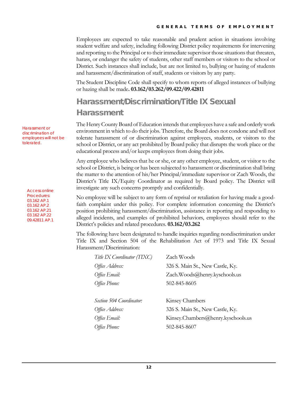Employees are expected to take reasonable and prudent action in situations involving student welfare and safety, including following District policy requirements for intervening and reporting to the Principal or to their immediate supervisor those situations that threaten, harass, or endanger the safety of students, other staff members or visitors to the school or District. Such instances shall include, but are not limited to, bullying or hazing of students and harassment/discrimination of staff, students or visitors by any party.

The Student Discipline Code shall specify to whom reports of alleged instances of bullying or hazing shall be made**. 03.162/03.262/09.422/09.42811**

## <span id="page-13-0"></span>Harassment/Discrimination/Title IX Sexual Harassment

The Henry County Board of Education intends that employees have a safe and orderly work environment in which to do their jobs. Therefore, the Board does not condone and will not tolerate harassment of or discrimination against employees, students, or visitors to the school or District, or any act prohibited by Board policy that disrupts the work place or the educational process and/or keeps employees from doing their jobs.

Any employee who believes that he or she, or any other employee, student, or visitor to the school or District, is being or has been subjected to harassment or discrimination shall bring the matter to the attention of his/her Principal/immediate supervisor or Zach Woods, the District's Title IX/Equity Coordinator as required by Board policy. The District will investigate any such concerns promptly and confidentially.

No employee will be subject to any form of reprisal or retaliation for having made a goodfaith complaint under this policy. For complete information concerning the District's position prohibiting harassment/discrimination, assistance in reporting and responding to alleged incidents, and examples of prohibited behaviors, employees should refer to the District's policies and related procedures. **03.162/03.262**

The following have been designated to handle inquiries regarding nondiscrimination under Title IX and Section 504 of the Rehabilitation Act of 1973 and Title IX Sexual Harassment/Discrimination:

| Zach Woods                         |
|------------------------------------|
| 326 S. Main St., New Castle, Ky.   |
| Zach.Woods@henry.kyschools.us      |
| 502-845-8605                       |
|                                    |
| Kinsey Chambers                    |
| 326 S. Main St., New Castle, Ky.   |
| Kinsey.Chambers@henry.kyschools.us |
|                                    |
|                                    |

Harassment or discrimination of employees will not be tolerated.

Access online Procedures: 03.162 AP.1 03.162 AP.2 03.162 AP.21 03.162 AP.22 09.42811 AP.1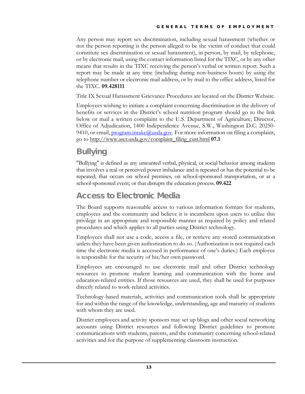Any person may report sex discrimination, including sexual harassment (whether or not the person reporting is the person alleged to be the victim of conduct that could constitute sex discrimination or sexual harassment), in person, by mail, by telephone, or by electronic mail, using the contact information listed for the TIXC, or by any other means that results in the TIXC receiving the person's verbal or written report. Such a report may be made at any time (including during non-business hours) by using the telephone number or electronic mail address, or by mail to the office address, listed for the TIXC. **09.428111**

Title IX Sexual Harassment Grievance Procedures are located on the District Website.

Employees wishing to initiate a complaint concerning discrimination in the delivery of benefits or services in the District's school nutrition program should go to the link below or mail a written complaint to the U.S. Department of Agriculture, Director, Office of Adjudication, 1400 Independence Avenue, S.W., Washington D.C. 20250- 9410, or email, *program.intake@usda.gov*. For more information on filing a complaint, go to [http://www.ascr.usda.gov/complaint\\_filing\\_cust.html](http://www.ascr.usda.gov/complaint_filing_cust.html) **07.1**

## <span id="page-14-0"></span>**Bullying**

"Bullying" is defined as any unwanted verbal, physical, or social behavior among students that involves a real or perceived power imbalance and is repeated or has the potential to be repeated; that occurs on school premises, on school-sponsored transportation, or at a school-sponsored event; or that disrupts the education process. **09.422**

### <span id="page-14-1"></span>Access to Electronic Media

The Board supports reasonable access to various information formats for students, employees and the community and believe it is incumbent upon users to utilize this privilege in an appropriate and responsible manner as required by policy and related procedures and which applies to all parties using District technology.

Employees shall not use a code, access a file, or retrieve any stored communication unless they have been given authorization to do so. (Authorization is not required each time the electronic media is accessed in performance of one's duties.) Each employee is responsible for the security of his/her own password.

Employees are encouraged to use electronic mail and other District technology resources to promote student learning and communication with the home and education-related entities. If those resources are used, they shall be used for purposes directly related to work-related activities.

Technology-based materials, activities and communication tools shall be appropriate for and within the range of the knowledge, understanding, age and maturity of students with whom they are used.

District employees and activity sponsors may set up blogs and other social networking accounts using District resources and following District guidelines to promote communications with students, parents, and the community concerning school-related activities and for the purpose of supplementing classroom instruction.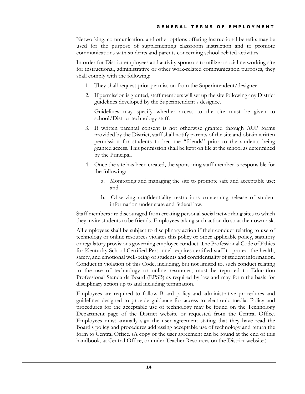Networking, communication, and other options offering instructional benefits may be used for the purpose of supplementing classroom instruction and to promote communications with students and parents concerning school-related activities.

In order for District employees and activity sponsors to utilize a social networking site for instructional, administrative or other work-related communication purposes, they shall comply with the following:

- 1. They shall request prior permission from the Superintendent/designee.
- 2. If permission is granted, staff members will set up the site following any District guidelines developed by the Superintendent's designee.

Guidelines may specify whether access to the site must be given to school/District technology staff.

- 3. If written parental consent is not otherwise granted through AUP forms provided by the District, staff shall notify parents of the site and obtain written permission for students to become "friends" prior to the students being granted access. This permission shall be kept on file at the school as determined by the Principal.
- 4. Once the site has been created, the sponsoring staff member is responsible for the following:
	- a. Monitoring and managing the site to promote safe and acceptable use; and
	- b. Observing confidentiality restrictions concerning release of student information under state and federal law.

Staff members are discouraged from creating personal social networking sites to which they invite students to be friends. Employees taking such action do so at their own risk.

All employees shall be subject to disciplinary action if their conduct relating to use of technology or online resources violates this policy or other applicable policy, statutory or regulatory provisions governing employee conduct. The Professional Code of Ethics for Kentucky School Certified Personnel requires certified staff to protect the health, safety, and emotional well-being of students and confidentiality of student information. Conduct in violation of this Code, including, but not limited to, such conduct relating to the use of technology or online resources, must be reported to Education Professional Standards Board (EPSB) as required by law and may form the basis for disciplinary action up to and including termination.

Employees are required to follow Board policy and administrative procedures and guidelines designed to provide guidance for access to electronic media. Policy and procedures for the acceptable use of technology may be found on the Technology Department page of the District website or requested from the Central Office. Employees must annually sign the user agreement stating that they have read the Board's policy and procedures addressing acceptable use of technology and return the form to Central Office. (A copy of the user agreement can be found at the end of this handbook, at Central Office, or under Teacher Resources on the District website.)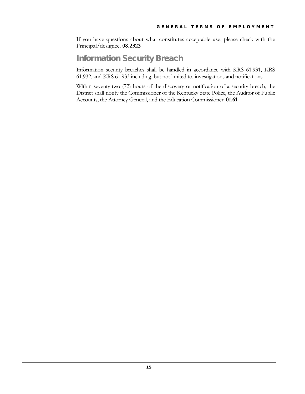If you have questions about what constitutes acceptable use, please check with the Principal/designee. **08.2323**

#### <span id="page-16-0"></span>Information Security Breach

Information security breaches shall be handled in accordance with KRS 61.931, KRS 61.932, and KRS 61.933 including, but not limited to, investigations and notifications.

Within seventy-two (72) hours of the discovery or notification of a security breach, the District shall notify the Commissioner of the Kentucky State Police, the Auditor of Public Accounts, the Attorney General, and the Education Commissioner. **01.61**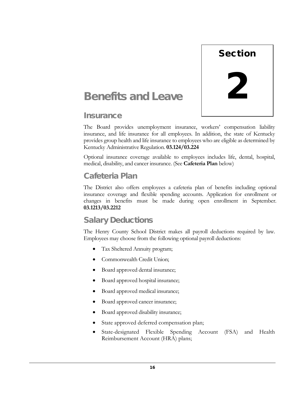

# <span id="page-17-0"></span>Benefits and Leave

#### <span id="page-17-1"></span>**Insurance**

The Board provides unemployment insurance, workers' compensation liability insurance, and life insurance for all employees. In addition, the state of Kentucky provides group health and life insurance to employees who are eligible as determined by Kentucky Administrative Regulation. **03.124/03.224**

Optional insurance coverage available to employees includes life, dental, hospital, medical, disability, and cancer insurance. (See **Cafeteria Plan** below)

## <span id="page-17-2"></span>Cafeteria Plan

The District also offers employees a cafeteria plan of benefits including optional insurance coverage and flexible spending accounts. Application for enrollment or changes in benefits must be made during open enrollment in September. **03.1213/03.2212**

## <span id="page-17-3"></span>Salary Deductions

The Henry County School District makes all payroll deductions required by law. Employees may choose from the following optional payroll deductions:

- Tax Sheltered Annuity program;
- Commonwealth Credit Union;
- Board approved dental insurance;
- Board approved hospital insurance;
- Board approved medical insurance;
- Board approved cancer insurance;
- Board approved disability insurance;
- State approved deferred compensation plan;
- State-designated Flexible Spending Account (FSA) and Health Reimbursement Account (HRA) plans;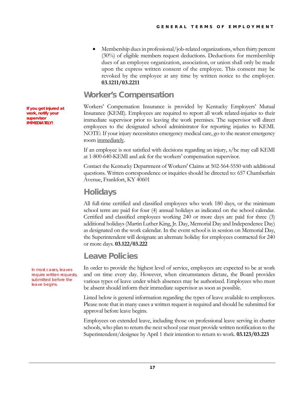• Membership dues in professional/job-related organizations, when thirty percent (30%) of eligible members request deductions. Deductions for membership dues of an employee organization, association, or union shall only be made upon the express written consent of the employee. This consent may be revoked by the employee at any time by written notice to the employer. **03.1211/03.2211**

#### <span id="page-18-0"></span>Worker's Compensation

Workers' Compensation Insurance is provided by Kentucky Employers' Mutual Insurance (KEMI). Employees are required to report all work related-injuries to their immediate supervisor prior to leaving the work premises. The supervisor will direct employees to the designated school administrator for reporting injuries to KEMI. NOTE: If your injury necessitates emergency medical care, go to the nearest emergency room immediately.

If an employee is not satisfied with decisions regarding an injury, s/he may call KEMI at 1-800-640-KEMI and ask for the workers' compensation supervisor.

Contact the Kentucky Department of Workers' Claims at 502-564-5550 with additional questions. Written correspondence or inquiries should be directed to: 657 Chamberlain Avenue, Frankfort, KY 40601

#### <span id="page-18-1"></span>**Holidays**

All full-time certified and classified employees who work 180 days, or the minimum school term are paid for four (4) annual holidays as indicated on the school calendar. Certified and classified employees working 240 or more days are paid for three (3) additional holidays (Martin Luther King, Jr. Day, Memorial Day and Independence Day) as designated on the work calendar. In the event school is in session on Memorial Day, the Superintendent will designate an alternate holiday for employees contracted for 240 or more days. **03.122/03.222**

#### <span id="page-18-2"></span>Leave Policies

In order to provide the highest level of service, employees are expected to be at work and on time every day. However, when circumstances dictate, the Board provides various types of leave under which absences may be authorized. Employees who must be absent should inform their immediate supervisor as soon as possible.

Listed below is general information regarding the types of leave available to employees. Please note that in many cases a written request is required and should be submitted for approval before leave begins.

Employees on extended leave, including those on professional leave serving in charter schools, who plan to return the next school year must provide written notification to the Superintendent/designee by April 1 their intention to return to work. **03.123/03.223**

**If you get injured at work, notify your supervisor IMMEDIATELY!**

> In most cases, leaves require written requests, submitted before the leave begins.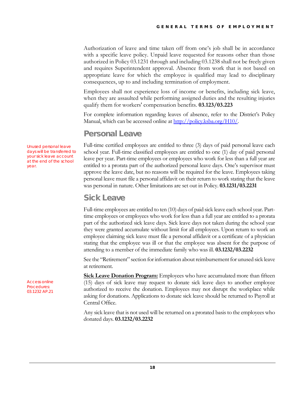Authorization of leave and time taken off from one's job shall be in accordance with a specific leave policy. Unpaid leave requested for reasons other than those authorized in Policy 03.1231 through and including 03.1238 shall not be freely given and requires Superintendent approval. Absence from work that is not based on appropriate leave for which the employee is qualified may lead to disciplinary consequences, up to and including termination of employment.

Employees shall not experience loss of income or benefits, including sick leave, when they are assaulted while performing assigned duties and the resulting injuries qualify them for workers' compensation benefits. **03.123/03.223**

For complete information regarding leaves of absence, refer to the District's Policy Manual, which can be accessed online at [http://policy.ksba.org/H10/.](http://policy.ksba.org/H10/)

#### <span id="page-19-0"></span>Personal Leave

Full-time certified employees are entitled to three (3) days of paid personal leave each school year. Full-time classified employees are entitled to one (1) day of paid personal leave per year. Part-time employees or employees who work for less than a full year are entitled to a prorata part of the authorized personal leave days. One's supervisor must approve the leave date, but no reasons will be required for the leave. Employees taking personal leave must file a personal affidavit on their return to work stating that the leave was personal in nature. Other limitations are set out in Policy. **03.1231/03.2231**

#### <span id="page-19-1"></span>Sick Leave

Full-time employees are entitled to ten (10) days of paid sick leave each school year. Parttime employees or employees who work for less than a full year are entitled to a prorata part of the authorized sick leave days. Sick leave days not taken during the school year they were granted accumulate without limit for all employees. Upon return to work an employee claiming sick leave must file a personal affidavit or a certificate of a physician stating that the employee was ill or that the employee was absent for the purpose of attending to a member of the immediate family who was ill. **03.1232/03.2232**

See the "Retirement" section for information about reimbursement for unused sick leave at retirement.

**Sick Leave Donation Program:** Employees who have accumulated more than fifteen (15) days of sick leave may request to donate sick leave days to another employee authorized to receive the donation. Employees may not disrupt the workplace while asking for donations. Applications to donate sick leave should be returned to Payroll at Central Office.

Any sick leave that is not used will be returned on a prorated basis to the employees who donated days. **03.1232/03.2232**

Unused personal leave days will be transferred to your sick leave account at the end of the school year.

Access online Procedures: 03.1232 AP.21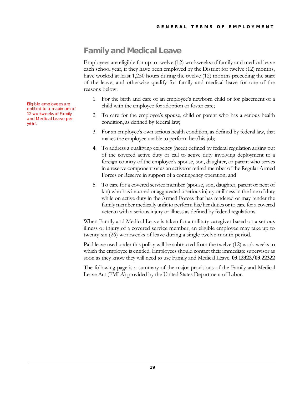## <span id="page-20-0"></span>Family and Medical Leave

Employees are eligible for up to twelve (12) workweeks of family and medical leave each school year, if they have been employed by the District for twelve (12) months, have worked at least 1,250 hours during the twelve (12) months preceding the start of the leave, and otherwise qualify for family and medical leave for one of the reasons below:

- 1. For the birth and care of an employee's newborn child or for placement of a child with the employee for adoption or foster care;
- 2. To care for the employee's spouse, child or parent who has a serious health condition, as defined by federal law;
- 3. For an employee's own serious health condition, as defined by federal law, that makes the employee unable to perform her/his job;
- 4. To address a qualifying exigency (need) defined by federal regulation arising out of the covered active duty or call to active duty involving deployment to a foreign country of the employee's spouse, son, daughter, or parent who serves in a reserve component or as an active or retired member of the Regular Armed Forces or Reserve in support of a contingency operation; and
- 5. To care for a covered service member (spouse, son, daughter, parent or next of kin) who has incurred or aggravated a serious injury or illness in the line of duty while on active duty in the Armed Forces that has rendered or may render the family member medically unfit to perform his/her duties or to care for a covered veteran with a serious injury or illness as defined by federal regulations.

When Family and Medical Leave is taken for a military caregiver based on a serious illness or injury of a covered service member, an eligible employee may take up to twenty-six (26) workweeks of leave during a single twelve-month period.

Paid leave used under this policy will be subtracted from the twelve (12) work-weeks to which the employee is entitled. Employees should contact their immediate supervisor as soon as they know they will need to use Family and Medical Leave. **03.12322/03.22322**

The following page is a summary of the major provisions of the Family and Medical Leave Act (FMLA) provided by the United States Department of Labor.

Eligible employees are entitled to a maximum of 12 workweeks of Family and Medical Leave per year.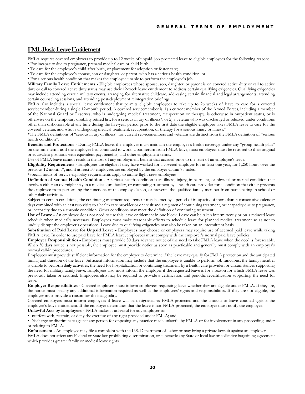#### <span id="page-21-0"></span>**FML Basic Leave Entitlement**

FMLA requires covered employers to provide up to 12 weeks of unpaid, job-protected leave to eligible employees for the following reasons:

- For incapacity due to pregnancy, prenatal medical care or child birth; • To care for the employee's child after birth, or placement for adoption or foster care;
- To care for the employee's spouse, son or daughter, or parent, who has a serious health condition; or
- For a serious health condition that makes the employee unable to perform the employee's job.

**Military Family Leave Entitlements -** Eligible employees whose spouse, son, daughter, or parent is on covered active duty or call to active duty or call to covered active duty status may use their 12-week leave entitlement to address certain qualifying exigencies. Qualifying exigencies may include attending certain military events, arranging for alternative childcare, addressing certain financial and legal arrangements, attending certain counseling sessions, and attending post-deployment reintegration briefings.

FMLA also includes a special leave entitlement that permits eligible employees to take up to 26 weeks of leave to care for a covered servicemember during a single 12-month period. A covered servicemember is: 1) a current member of the Armed Forces, including a member of the National Guard or Reserves, who is undergoing medical treatment, recuperation or therapy, is otherwise in outpatient status, or is otherwise on the temporary disability retired list, for a serious injury or illness\*; or 2) a veteran who was discharged or released under conditions other than dishonorable at any time during the five-year period prior to the first date the eligible employee takes FMLA leave to care for the covered veteran, and who is undergoing medical treatment, recuperation, or therapy for a serious injury or illness.\*

\*The FMLA definitions of "serious injury or illness" for current servicemembers and veterans are distinct from the FMLA definition of "serious health condition".

**Benefits and Protections -** During FMLA leave, the employer must maintain the employee's health coverage under any "group health plan" on the same terms as if the employee had continued to work. Upon return from FMLA leave, most employees must be restored to their original or equivalent positions with equivalent pay, benefits, and other employment terms.

Use of FMLA leave cannot result in the loss of any employment benefit that accrued prior to the start of an employee's leave.

**Eligibility Requirements -** Employees are eligible if they have worked for a covered employer for at least one year, for 1,250 hours over the previous 12 months\*, and if at least 50 employees are employed by the employer within 75 miles.

\*Special hours of service eligibility requirements apply to airline flight crew employees.

**Definition of Serious Health Condition -** A serious health condition is an illness, injury, impairment, or physical or mental condition that involves either an overnight stay in a medical care facility, or continuing treatment by a health care provider for a condition that either prevents the employee from performing the functions of the employee's job, or prevents the qualified family member from participating in school or other daily activities.

Subject to certain conditions, the continuing treatment requirement may be met by a period of incapacity of more than 3 consecutive calendar days combined with at least two visits to a health care provider or one visit and a regimen of continuing treatment, or incapacity due to pregnancy, or incapacity due to a chronic condition. Other conditions may meet the definition of continuing treatment.

**Use of Leave -** An employee does not need to use this leave entitlement in one block. Leave can be taken intermittently or on a reduced leave schedule when medically necessary. Employees must make reasonable efforts to schedule leave for planned medical treatment so as not to unduly disrupt the employer's operations. Leave due to qualifying exigencies may also be taken on an intermittent basis.

**Substitution of Paid Leave for Unpaid Leave -** Employees may choose or employers may require use of accrued paid leave while taking FMLA leave. In order to use paid leave for FMLA leave, employees must comply with the employer's normal paid leave policies.

**Employee Responsibilities -** Employees must provide 30 days advance notice of the need to take FMLA leave when the need is foreseeable. When 30 days notice is not possible, the employee must provide notice as soon as practicable and generally must comply with an employer's normal call-in procedures.

Employees must provide sufficient information for the employer to determine if the leave may qualify for FMLA protection and the anticipated timing and duration of the leave. Sufficient information may include that the employee is unable to perform job functions, the family member is unable to perform daily activities, the need for hospitalization or continuing treatment by a health care provider, or circumstances supporting the need for military family leave. Employees also must inform the employer if the requested leave is for a reason for which FMLA leave was previously taken or certified. Employees also may be required to provide a certification and periodic recertification supporting the need for leave.

**Employer Responsibilities -** Covered employers must inform employees requesting leave whether they are eligible under FMLA. If they are, the notice must specify any additional information required as well as the employees' rights and responsibilities. If they are not eligible, the employer must provide a reason for the ineligibility.

Covered employers must inform employees if leave will be designated as FMLA-protected and the amount of leave counted against the employee's leave entitlement. If the employer determines that the leave is not FMLA-protected, the employer must notify the employee. **Unlawful Acts by Employers -** FMLA makes it unlawful for any employer to:

• Interfere with, restrain, or deny the exercise of any right provided under FMLA; and

• Discharge or discriminate against any person for opposing any practice made unlawful by FMLA or for involvement in any proceeding under or relating to FMLA.

**Enforcement -** An employee may file a complaint with the U.S. Department of Labor or may bring a private lawsuit against an employer. FMLA does not affect any Federal or State law prohibiting discrimination, or supersede any State or local law or collective bargaining agreement which provides greater family or medical leave rights.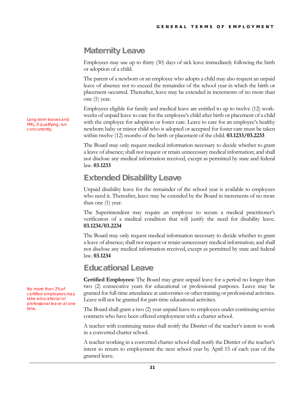## <span id="page-22-0"></span>Maternity Leave

Employees may use up to thirty (30) days of sick leave immediately following the birth or adoption of a child.

The parent of a newborn or an employee who adopts a child may also request an unpaid leave of absence not to exceed the remainder of the school year in which the birth or placement occurred. Thereafter, leave may be extended in increments of no more than one (1) year.

Employees eligible for family and medical leave are entitled to up to twelve (12) workweeks of unpaid leave to care for the employee's child after birth or placement of a child with the employee for adoption or foster care. Leave to care for an employee's healthy newborn baby or minor child who is adopted or accepted for foster care must be taken within twelve (12) months of the birth or placement of the child. **03.1233/03.2233**

The Board may only request medical information necessary to decide whether to grant a leave of absence; shall not request or retain unnecessary medical information; and shall not disclose any medical information received, except as permitted by state and federal law. **03.1233**

### <span id="page-22-1"></span>Extended Disability Leave

Unpaid disability leave for the remainder of the school year is available to employees who need it. Thereafter, leave may be extended by the Board in increments of no more than one (1) year.

The Superintendent may require an employee to secure a medical practitioner's verification of a medical condition that will justify the need for disability leave. **03.1234/03.2234**

The Board may only request medical information necessary to decide whether to grant a leave of absence; shall not request or retain unnecessary medical information; and shall not disclose any medical information received, except as permitted by state and federal law. **03.1234**

#### <span id="page-22-2"></span>Educational Leave

**Certified Employees:** The Board may grant unpaid leave for a period no longer than two (2) consecutive years for educational or professional purposes. Leave may be granted for full-time attendance at universities or other training or professional activities. Leave will not be granted for part-time educational activities.

The Board shall grant a two (2) year unpaid leave to employees under continuing service contracts who have been offered employment with a charter school.

A teacher with continuing status shall notify the District of the teacher's intent to work in a converted charter school.

A teacher working in a converted charter school shall notify the District of the teacher's intent to return to employment the next school year by April 15 of each year of the granted leave.

Long-term leaves and FML, if qualifying, run concurrently.

No more than 2% of certified employees may take educational or professional leave at one time.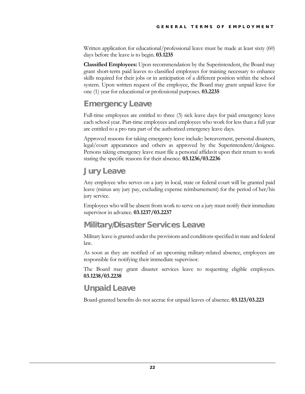Written application for educational/professional leave must be made at least sixty (60) days before the leave is to begin. **03.1235**

**Classified Employees:** Upon recommendation by the Superintendent, the Board may grant short-term paid leaves to classified employees for training necessary to enhance skills required for their jobs or in anticipation of a different position within the school system. Upon written request of the employee, the Board may grant unpaid leave for one (1) year for educational or professional purposes. **03.2235**

### <span id="page-23-0"></span>Emergency Leave

Full-time employees are entitled to three (3) sick leave days for paid emergency leave each school year. Part-time employees and employees who work for less than a full year are entitled to a pro rata part of the authorized emergency leave days.

Approved reasons for taking emergency leave include: bereavement, personal disasters, legal/court appearances and others as approved by the Superintendent/designee. Persons taking emergency leave must file a personal affidavit upon their return to work stating the specific reasons for their absence. **03.1236/03.2236**

#### <span id="page-23-1"></span>Jury Leave

Any employee who serves on a jury in local, state or federal court will be granted paid leave (minus any jury pay, excluding expense reimbursement) for the period of her/his jury service.

Employees who will be absent from work to serve on a jury must notify their immediate supervisor in advance. **03.1237/03.2237**

#### <span id="page-23-2"></span>Military/Disaster Services Leave

Military leave is granted under the provisions and conditions specified in state and federal law.

As soon as they are notified of an upcoming military-related absence, employees are responsible for notifying their immediate supervisor.

The Board may grant disaster services leave to requesting eligible employees. **03.1238/03.2238**

#### <span id="page-23-3"></span>Unpaid Leave

Board-granted benefits do not accrue for unpaid leaves of absence. **03.123/03.223**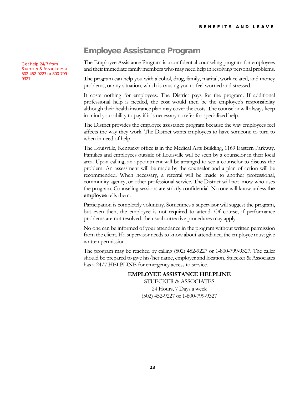Get help 24/7 from Stuecker & Associates at 502-452-9227 or 800-799- 9327

## <span id="page-24-0"></span>Employee Assistance Program

The Employee Assistance Program is a confidential counseling program for employees and their immediate family members who may need help in resolving personal problems.

The program can help you with alcohol, drug, family, marital, work-related, and money problems, or any situation, which is causing you to feel worried and stressed.

It costs nothing for employees. The District pays for the program. If additional professional help is needed, the cost would then be the employee's responsibility although their health insurance plan may cover the costs. The counselor will always keep in mind your ability to pay if it is necessary to refer for specialized help.

The District provides the employee assistance program because the way employees feel affects the way they work. The District wants employees to have someone to turn to when in need of help.

The Louisville, Kentucky office is in the Medical Arts Building, 1169 Eastern Parkway. Families and employees outside of Louisville will be seen by a counselor in their local area. Upon calling, an appointment will be arranged to see a counselor to discuss the problem. An assessment will be made by the counselor and a plan of action will be recommended. When necessary, a referral will be made to another professional, community agency, or other professional service. The District will not know who uses the program. Counseling sessions are strictly confidential. No one will know unless **the employee** tells them.

Participation is completely voluntary. Sometimes a supervisor will suggest the program, but even then, the employee is not required to attend. Of course, if performance problems are not resolved, the usual corrective procedures may apply.

No one can be informed of your attendance in the program without written permission from the client. If a supervisor needs to know about attendance, the employee must give written permission.

The program may be reached by calling (502) 452-9227 or 1-800-799-9327. The caller should be prepared to give his/her name, employer and location. Stuecker & Associates has a 24/7 HELPLINE for emergency access to service.

#### **EMPLOYEE ASSISTANCE HELPLINE**

STUECKER & ASSOCIATES 24 Hours, 7 Days a week (502) 452-9227 or 1-800-799-9327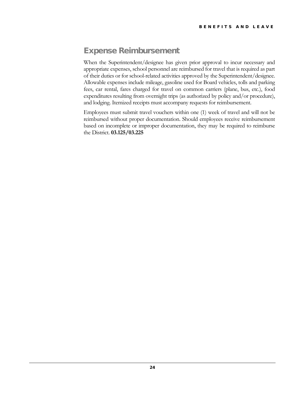## <span id="page-25-0"></span>Expense Reimbursement

When the Superintendent/designee has given prior approval to incur necessary and appropriate expenses, school personnel are reimbursed for travel that is required as part of their duties or for school-related activities approved by the Superintendent/designee. Allowable expenses include mileage, gasoline used for Board vehicles, tolls and parking fees, car rental, fares charged for travel on common carriers (plane, bus, etc.), food expenditures resulting from overnight trips (as authorized by policy and/or procedure), and lodging. Itemized receipts must accompany requests for reimbursement.

Employees must submit travel vouchers within one (1) week of travel and will not be reimbursed without proper documentation. Should employees receive reimbursement based on incomplete or improper documentation, they may be required to reimburse the District. **03.125/03.225**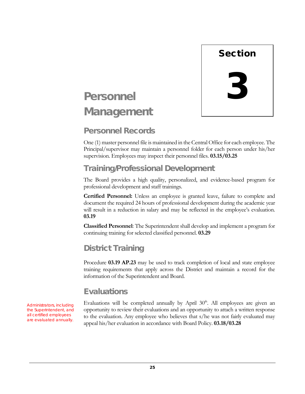

# <span id="page-26-0"></span>Personnel **Management**

## <span id="page-26-1"></span>Personnel Records

One (1) master personnel file is maintained in the Central Office for each employee. The Principal/supervisor may maintain a personnel folder for each person under his/her supervision. Employees may inspect their personnel files. **03.15/03.25**

## <span id="page-26-2"></span>Training/Professional Development

The Board provides a high quality, personalized, and evidence-based program for professional development and staff trainings.

**Certified Personnel:** Unless an employee is granted leave, failure to complete and document the required 24 hours of professional development during the academic year will result in a reduction in salary and may be reflected in the employee's evaluation. **03.19**

**Classified Personnel**: The Superintendent shall develop and implement a program for continuing training for selected classified personnel. **03.29**

## <span id="page-26-3"></span>District Training

Procedure **03.19 AP.23** may be used to track completion of local and state employee training requirements that apply across the District and maintain a record for the information of the Superintendent and Board.

### <span id="page-26-4"></span>**Fyaluations**

Evaluations will be completed annually by April  $30<sup>th</sup>$ . All employees are given an opportunity to review their evaluations and an opportunity to attach a written response to the evaluation. Any employee who believes that s/he was not fairly evaluated may appeal his/her evaluation in accordance with Board Policy. **03.18/03.28**

Administrators, including the Superintendent, and all certified employees are evaluated annually.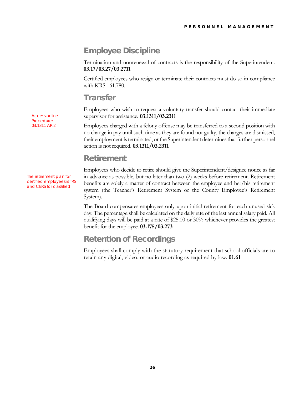## <span id="page-27-0"></span>Employee Discipline

Termination and nonrenewal of contracts is the responsibility of the Superintendent. **03.17/03.27/03.2711**

Certified employees who resign or terminate their contracts must do so in compliance with KRS 161.780.

#### <span id="page-27-1"></span>**Transfer**

Employees who wish to request a voluntary transfer should contact their immediate supervisor for assistance**. 03.1311/03.2311**

Employees charged with a felony offense may be transferred to a second position with no change in pay until such time as they are found not guilty, the charges are dismissed, their employment is terminated, or the Superintendent determines that further personnel action is not required. **03.1311/03.2311**

## <span id="page-27-2"></span>Retirement

Employees who decide to retire should give the Superintendent/designee notice as far in advance as possible, but no later than two (2) weeks before retirement. Retirement benefits are solely a matter of contract between the employee and her/his retirement system (the Teacher's Retirement System or the County Employee's Retirement System).

The Board compensates employees only upon initial retirement for each unused sick day. The percentage shall be calculated on the daily rate of the last annual salary paid. All qualifying days will be paid at a rate of \$25.00 or 30% whichever provides the greatest benefit for the employee. **03.175/03.273**

### <span id="page-27-3"></span>Retention of Recordings

Employees shall comply with the statutory requirement that school officials are to retain any digital, video, or audio recording as required by law. **01.61**

Access online Procedure: 03.1311 AP.2

The retirement plan for certified employees is TRS and CERS for classified.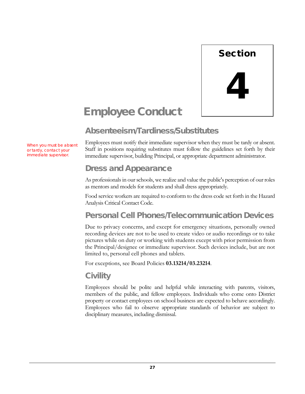

# <span id="page-28-0"></span>Employee Conduct

### <span id="page-28-1"></span>Absenteeism/Tardiness/Substitutes

When you must be absent or tardy, contact your immediate supervisor.

Employees must notify their immediate supervisor when they must be tardy or absent. Staff in positions requiring substitutes must follow the guidelines set forth by their immediate supervisor, building Principal, or appropriate department administrator.

### <span id="page-28-2"></span>Dress and Appearance

As professionals in our schools, we realize and value the public's perception of our roles as mentors and models for students and shall dress appropriately.

Food service workers are required to conform to the dress code set forth in the Hazard Analysis Critical Contact Code.

### <span id="page-28-3"></span>Personal Cell Phones/Telecommunication Devices

Due to privacy concerns, and except for emergency situations, personally owned recording devices are not to be used to create video or audio recordings or to take pictures while on duty or working with students except with prior permission from the Principal/designee or immediate supervisor. Such devices include, but are not limited to, personal cell phones and tablets.

For exceptions, see Board Policies **03.13214/03.23214**.

#### <span id="page-28-4"></span>**Civility**

Employees should be polite and helpful while interacting with parents, visitors, members of the public, and fellow employees. Individuals who come onto District property or contact employees on school business are expected to behave accordingly. Employees who fail to observe appropriate standards of behavior are subject to disciplinary measures, including dismissal.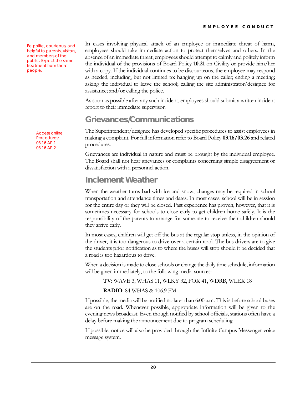Be polite, courteous, and helpful to parents, visitors, and members of the public. Expect the same treatment from these people.

> Access online Procedures: 03.16 AP.1 03.16 AP.2

In cases involving physical attack of an employee or immediate threat of harm, employees should take immediate action to protect themselves and others. In the absence of an immediate threat, employees should attempt to calmly and politely inform the individual of the provisions of Board Policy **10.21** on Civility or provide him/her with a copy. If the individual continues to be discourteous, the employee may respond as needed, including, but not limited to: hanging up on the caller; ending a meeting; asking the individual to leave the school; calling the site administrator/designee for assistance; and/or calling the police.

As soon as possible after any such incident, employees should submit a written incident report to their immediate supervisor.

### <span id="page-29-0"></span>Grievances/Communications

The Superintendent/designee has developed specific procedures to assist employees in making a complaint. For full information refer to Board Policy **03.16/03.26** and related procedures.

Grievances are individual in nature and must be brought by the individual employee. The Board shall not hear grievances or complaints concerning simple disagreement or dissatisfaction with a personnel action.

#### <span id="page-29-1"></span>Inclement Weather

When the weather turns bad with ice and snow, changes may be required in school transportation and attendance times and dates. In most cases, school will be in session for the entire day or they will be closed. Past experience has proven, however, that it is sometimes necessary for schools to close early to get children home safely. It is the responsibility of the parents to arrange for someone to receive their children should they arrive early.

In most cases, children will get off the bus at the regular stop unless, in the opinion of the driver, it is too dangerous to drive over a certain road. The bus drivers are to give the students prior notification as to where the buses will stop should it be decided that a road is too hazardous to drive.

When a decision is made to close schools or change the daily time schedule, information will be given immediately, to the following media sources:

#### **TV**: WAVE 3, WHAS 11, WLKY 32, FOX 41, WDRB, WLEX 18

#### **RADIO**: 84 WHAS & 106.9 FM

If possible, the media will be notified no later than 6:00 a.m. This is before school buses are on the road. Whenever possible, appropriate information will be given to the evening news broadcast. Even though notified by school officials, stations often have a delay before making the announcement due to program scheduling.

If possible, notice will also be provided through the Infinite Campus Messenger voice message system.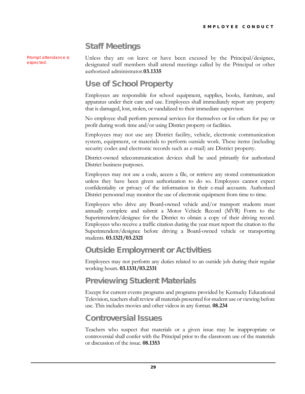## <span id="page-30-0"></span>Staff Meetings

Prompt attendance is expected.

Unless they are on leave or have been excused by the Principal/designee, designated staff members shall attend meetings called by the Principal or other authorized administrator.**03.1335**

### <span id="page-30-1"></span>Use of School Property

Employees are responsible for school equipment, supplies, books, furniture, and apparatus under their care and use. Employees shall immediately report any property that is damaged, lost, stolen, or vandalized to their immediate supervisor.

No employee shall perform personal services for themselves or for others for pay or profit during work time and/or using District property or facilities.

Employees may not use any District facility, vehicle, electronic communication system, equipment, or materials to perform outside work. These items (including security codes and electronic records such as e-mail) are District property.

District-owned telecommunication devices shall be used primarily for authorized District business purposes.

Employees may not use a code, access a file, or retrieve any stored communication unless they have been given authorization to do so. Employees cannot expect confidentiality or privacy of the information in their e-mail accounts. Authorized District personnel may monitor the use of electronic equipment from time to time.

Employees who drive any Board-owned vehicle and/or transport students must annually complete and submit a Motor Vehicle Record (MVR) Form to the Superintendent/designee for the District to obtain a copy of their driving record. Employees who receive a traffic citation during the year must report the citation to the Superintendent/designee before driving a Board-owned vehicle or transporting students. **03.1321/03.2321**

### <span id="page-30-2"></span>Outside Employment or Activities

Employees may not perform any duties related to an outside job during their regular working hours. **03.1331/03.2331**

#### <span id="page-30-3"></span>Previewing Student Materials

Except for current events programs and programs provided by Kentucky Educational Television, teachers shall review all materials presented for student use or viewing before use. This includes movies and other videos in any format. **08.234**

#### <span id="page-30-4"></span>Controversial Issues

Teachers who suspect that materials or a given issue may be inappropriate or controversial shall confer with the Principal prior to the classroom use of the materials or discussion of the issue. **08.1353**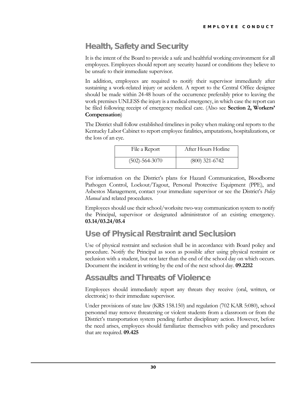## <span id="page-31-0"></span>Health, Safety and Security

It is the intent of the Board to provide a safe and healthful working environment for all employees. Employees should report any security hazard or conditions they believe to be unsafe to their immediate supervisor.

In addition, employees are required to notify their supervisor immediately after sustaining a work-related injury or accident. A report to the Central Office designee should be made within 24-48 hours of the occurrence preferably prior to leaving the work premises UNLESS the injury is a medical emergency, in which case the report can be filed following receipt of emergency medical care. (Also see **Section 2, Workers' Compensation**)

The District shall follow established timelines in policy when making oral reports to the Kentucky Labor Cabinet to report employee fatalities, amputations, hospitalizations, or the loss of an eye.

| File a Report        | After Hours Hotline |
|----------------------|---------------------|
| $(502) - 564 - 3070$ | $(800)$ 321-6742    |

For information on the District's plans for Hazard Communication, Bloodborne Pathogen Control, Lockout/Tagout, Personal Protective Equipment (PPE), and Asbestos Management, contact your immediate supervisor or see the District's *Policy Manual* and related procedures.

Employees should use their school/worksite two-way communication system to notify the Principal, supervisor or designated administrator of an existing emergency. **03.14/03.24/05.4**

## <span id="page-31-1"></span>Use of Physical Restraint and Seclusion

Use of physical restraint and seclusion shall be in accordance with Board policy and procedure. Notify the Principal as soon as possible after using physical restraint or seclusion with a student, but not later than the end of the school day on which occurs. Document the incident in writing by the end of the next school day. **09.2212**

#### <span id="page-31-2"></span>Assaults and Threats of Violence

Employees should immediately report any threats they receive (oral, written, or electronic) to their immediate supervisor.

Under provisions of state law (KRS 158.150) and regulation (702 KAR 5:080), school personnel may remove threatening or violent students from a classroom or from the District's transportation system pending further disciplinary action. However, before the need arises, employees should familiarize themselves with policy and procedures that are required. **09.425**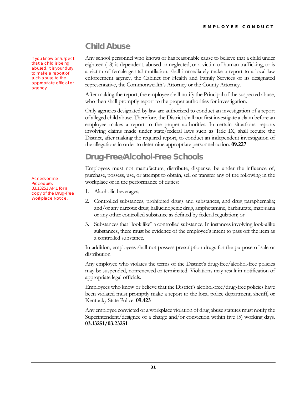## <span id="page-32-0"></span>Child Abuse

Any school personnel who knows or has reasonable cause to believe that a child under eighteen (18) is dependent, abused or neglected, or a victim of human trafficking, or is a victim of female genital mutilation, shall immediately make a report to a local law enforcement agency, the Cabinet for Health and Family Services or its designated representative, the Commonwealth's Attorney or the County Attorney.

After making the report, the employee shall notify the Principal of the suspected abuse, who then shall promptly report to the proper authorities for investigation.

Only agencies designated by law are authorized to conduct an investigation of a report of alleged child abuse. Therefore, the District shall not first investigate a claim before an employee makes a report to the proper authorities. In certain situations, reports involving claims made under state/federal laws such as Title IX, shall require the District, after making the required report, to conduct an independent investigation of the allegations in order to determine appropriate personnel action. **09.227**

## <span id="page-32-1"></span>Drug-Free/Alcohol-Free Schools

Employees must not manufacture, distribute, dispense, be under the influence of, purchase, possess, use, or attempt to obtain, sell or transfer any of the following in the workplace or in the performance of duties:

- 1. Alcoholic beverages;
- 2. Controlled substances, prohibited drugs and substances, and drug paraphernalia; and/or any narcotic drug, hallucinogenic drug, amphetamine, barbiturate, marijuana or any other controlled substance as defined by federal regulation; or
- 3. Substances that "look like" a controlled substance. In instances involving look-alike substances, there must be evidence of the employee's intent to pass off the item as a controlled substance.

In addition, employees shall not possess prescription drugs for the purpose of sale or distribution

Any employee who violates the terms of the District's drug-free/alcohol-free policies may be suspended, nonrenewed or terminated. Violations may result in notification of appropriate legal officials.

Employees who know or believe that the District's alcohol-free/drug-free policies have been violated must promptly make a report to the local police department, sheriff, or Kentucky State Police. **09.423**

Any employee convicted of a workplace violation of drug abuse statutes must notify the Superintendent/designee of a charge and/or conviction within five (5) working days. **03.13251/03.23251**

Access online Procedure: 03.13251 AP.1 for a copy of the Drug-Free Workplace Notice.

If you know or suspect that a child is being abused, it is your duty to make a report of such abuse to the appropriate official or

agency.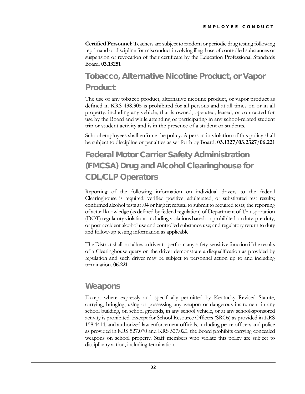**Certified Personnel:** Teachers are subject to random or periodic drug testing following reprimand or discipline for misconduct involving illegal use of controlled substances or suspension or revocation of their certificate by the Education Professional Standards Board. **03.13251**

## <span id="page-33-0"></span>Tobacco, Alternative Nicotine Product, or Vapor **Product**

The use of any tobacco product, alternative nicotine product, or vapor product as defined in KRS 438.305 is prohibited for all persons and at all times on or in all property, including any vehicle, that is owned, operated, leased, or contracted for use by the Board and while attending or participating in any school-related student trip or student activity and is in the presence of a student or students.

School employees shall enforce the policy. A person in violation of this policy shall be subject to discipline or penalties as set forth by Board. **03.1327/03.2327**/**06.221**

## <span id="page-33-1"></span>Federal Motor Carrier Safety Administration (FMCSA) Drug and Alcohol Clearinghouse for CDL/CLP Operators

Reporting of the following information on individual drivers to the federal Clearinghouse is required: verified positive, adulterated, or substituted test results; confirmed alcohol tests at .04 or higher; refusal to submit to required tests; the reporting of actual knowledge (as defined by federal regulation) of Department of Transportation (DOT) regulatory violations, including violations based on prohibited on duty, pre-duty, or post-accident alcohol use and controlled substance use; and regulatory return to duty and follow-up testing information as applicable.

The District shall not allow a driver to perform any safety-sensitive function if the results of a Clearinghouse query on the driver demonstrate a disqualification as provided by regulation and such driver may be subject to personnel action up to and including termination. **06.221**

#### <span id="page-33-2"></span>**Weapons**

Except where expressly and specifically permitted by Kentucky Revised Statute, carrying, bringing, using or possessing any weapon or dangerous instrument in any school building, on school grounds, in any school vehicle, or at any school-sponsored activity is prohibited. Except for School Resource Officers (SROs) as provided in KRS 158.4414, and authorized law enforcement officials, including peace officers and police as provided in KRS 527.070 and KRS 527.020, the Board prohibits carrying concealed weapons on school property. Staff members who violate this policy are subject to disciplinary action, including termination.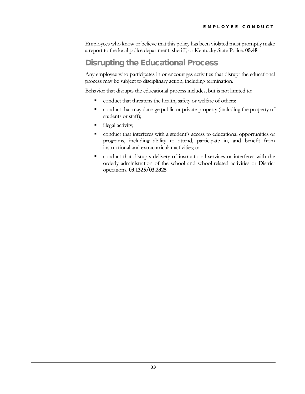Employees who know or believe that this policy has been violated must promptly make a report to the local police department, sheriff, or Kentucky State Police. **05.48**

## <span id="page-34-0"></span>Disrupting the Educational Process

Any employee who participates in or encourages activities that disrupt the educational process may be subject to disciplinary action, including termination.

Behavior that disrupts the educational process includes, but is not limited to:

- conduct that threatens the health, safety or welfare of others;
- conduct that may damage public or private property (including the property of students or staff);
- llegal activity;
- conduct that interferes with a student's access to educational opportunities or programs, including ability to attend, participate in, and benefit from instructional and extracurricular activities; or
- conduct that disrupts delivery of instructional services or interferes with the orderly administration of the school and school-related activities or District operations. **03.1325/03.2325**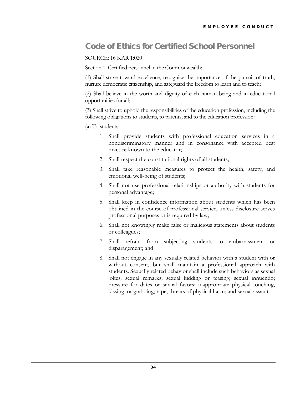### <span id="page-35-0"></span>Code of Ethics for Certified School Personnel

#### SOURCE: 16 KAR 1:020

Section 1. Certified personnel in the Commonwealth:

(1) Shall strive toward excellence, recognize the importance of the pursuit of truth, nurture democratic citizenship, and safeguard the freedom to learn and to teach;

(2) Shall believe in the worth and dignity of each human being and in educational opportunities for all;

(3) Shall strive to uphold the responsibilities of the education profession, including the following obligations to students, to parents, and to the education profession:

(a) To students:

- 1. Shall provide students with professional education services in a nondiscriminatory manner and in consonance with accepted best practice known to the educator;
- 2. Shall respect the constitutional rights of all students;
- 3. Shall take reasonable measures to protect the health, safety, and emotional well-being of students;
- 4. Shall not use professional relationships or authority with students for personal advantage;
- 5. Shall keep in confidence information about students which has been obtained in the course of professional service, unless disclosure serves professional purposes or is required by law;
- 6. Shall not knowingly make false or malicious statements about students or colleagues;
- 7. Shall refrain from subjecting students to embarrassment or disparagement; and
- 8. Shall not engage in any sexually related behavior with a student with or without consent, but shall maintain a professional approach with students. Sexually related behavior shall include such behaviors as sexual jokes; sexual remarks; sexual kidding or teasing; sexual innuendo; pressure for dates or sexual favors; inappropriate physical touching, kissing, or grabbing; rape; threats of physical harm; and sexual assault.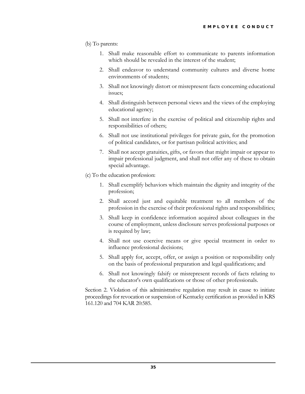#### (b) To parents:

- 1. Shall make reasonable effort to communicate to parents information which should be revealed in the interest of the student;
- 2. Shall endeavor to understand community cultures and diverse home environments of students;
- 3. Shall not knowingly distort or misrepresent facts concerning educational issues;
- 4. Shall distinguish between personal views and the views of the employing educational agency;
- 5. Shall not interfere in the exercise of political and citizenship rights and responsibilities of others;
- 6. Shall not use institutional privileges for private gain, for the promotion of political candidates, or for partisan political activities; and
- 7. Shall not accept gratuities, gifts, or favors that might impair or appear to impair professional judgment, and shall not offer any of these to obtain special advantage.
- (c) To the education profession:
	- 1. Shall exemplify behaviors which maintain the dignity and integrity of the profession;
	- 2. Shall accord just and equitable treatment to all members of the profession in the exercise of their professional rights and responsibilities;
	- 3. Shall keep in confidence information acquired about colleagues in the course of employment, unless disclosure serves professional purposes or is required by law;
	- 4. Shall not use coercive means or give special treatment in order to influence professional decisions;
	- 5. Shall apply for, accept, offer, or assign a position or responsibility only on the basis of professional preparation and legal qualifications; and
	- 6. Shall not knowingly falsify or misrepresent records of facts relating to the educator's own qualifications or those of other professionals.

Section 2. Violation of this administrative regulation may result in cause to initiate proceedings for revocation or suspension of Kentucky certification as provided in KRS 161.120 and 704 KAR 20:585.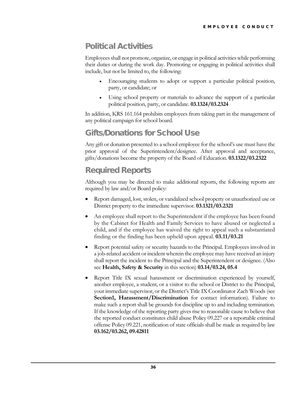## <span id="page-37-0"></span>Political Activities

Employees shall not promote, organize, or engage in political activities while performing their duties or during the work day. Promoting or engaging in political activities shall include, but not be limited to, the following:

- Encouraging students to adopt or support a particular political position, party, or candidate; or
- Using school property or materials to advance the support of a particular political position, party, or candidate. **03.1324/03.2324**

In addition, KRS 161.164 prohibits employees from taking part in the management of any political campaign for school board.

## <span id="page-37-1"></span>Gifts/Donations for School Use

Any gift or donation presented to a school employee for the school's use must have the prior approval of the Superintendent/designee. After approval and acceptance, gifts/donations become the property of the Board of Education. **03.1322/03.2322**

## <span id="page-37-2"></span>Required Reports

Although you may be directed to make additional reports, the following reports are required by law and/or Board policy:

- Report damaged, lost, stolen, or vandalized school property or unauthorized use or District property to the immediate supervisor. **03.1321/03.2321**
- An employee shall report to the Superintendent if the employee has been found by the Cabinet for Health and Family Services to have abused or neglected a child, and if the employee has waived the right to appeal such a substantiated finding or the finding has been upheld upon appeal. **03.11/03.21**
- Report potential safety or security hazards to the Principal. Employees involved in a job-related accident or incident wherein the employee may have received an injury shall report the incident to the Principal and the Superintendent or designee. (Also see **Health, Safety & Security** in this section) **03.14/03.24, 05.4**
- Report Title IX sexual harassment or discrimination experienced by yourself, another employee, a student, or a visitor to the school or District to the Principal, your immediate supervisor, or the District's Title IX Coordinator Zach Woods (see **Section1, Harassment/Discrimination** for contact information). Failure to make such a report shall be grounds for discipline up to and including termination. If the knowledge of the reporting party gives rise to reasonable cause to believe that the reported conduct constitutes child abuse Policy 09.227 or a reportable criminal offense Policy 09.221, notification of state officials shall be made as required by law **03.162/03.262, 09.42811**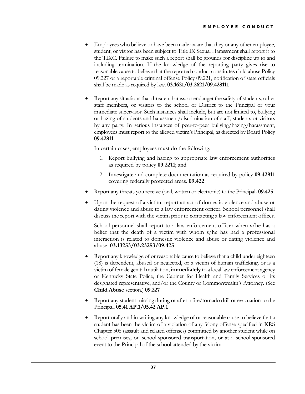- Employees who believe or have been made aware that they or any other employee, student, or visitor has been subject to Title IX Sexual Harassment shall report it to the TIXC. Failure to make such a report shall be grounds for discipline up to and including termination. If the knowledge of the reporting party gives rise to reasonable cause to believe that the reported conduct constitutes child abuse Policy 09.227 or a reportable criminal offense Policy 09.221, notification of state officials shall be made as required by law. **03.1621/03.2621/09.428111**
- Report any situations that threaten, harass, or endanger the safety of students, other staff members, or visitors to the school or District to the Principal or your immediate supervisor. Such instances shall include, but are not limited to, bullying or hazing of students and harassment/discrimination of staff, students or visitors by any party. In serious instances of peer-to-peer bullying/hazing/harassment, employees must report to the alleged victim's Principal, as directed by Board Policy **09.42811**.

In certain cases, employees must do the following:

- 1. Report bullying and hazing to appropriate law enforcement authorities as required by policy **09.2211**; and
- 2. Investigate and complete documentation as required by policy **09.42811** covering federally protected areas. **09.422**
- Report any threats you receive (oral, written or electronic) to the Principal**. 09.425**
- Upon the request of a victim, report an act of domestic violence and abuse or dating violence and abuse to a law enforcement officer. School personnel shall discuss the report with the victim prior to contacting a law enforcement officer.

School personnel shall report to a law enforcement officer when s/he has a belief that the death of a victim with whom s/he has had a professional interaction is related to domestic violence and abuse or dating violence and abuse. **03.13253/03.23253/09.425**

- Report any knowledge of or reasonable cause to believe that a child under eighteen (18) is dependent, abused or neglected, or a victim of human trafficking, or is a victim of female genital mutilation, **immediately** to a local law enforcement agency or Kentucky State Police, the Cabinet for Health and Family Services or its designated representative, and/or the County or Commonwealth's Attorney**.** (See **Child Abuse** section.) **09.227**
- Report any student missing during or after a fire/tornado drill or evacuation to the Principal. **05.41 AP.1/05.42 AP.1**
- Report orally and in writing any knowledge of or reasonable cause to believe that a student has been the victim of a violation of any felony offense specified in KRS Chapter 508 (assault and related offenses) committed by another student while on school premises, on school-sponsored transportation, or at a school-sponsored event to the Principal of the school attended by the victim.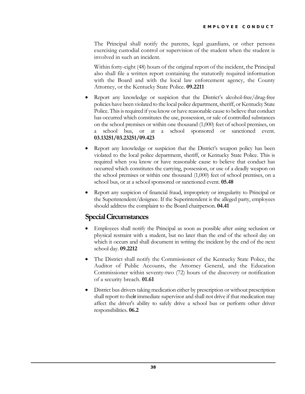The Principal shall notify the parents, legal guardians, or other persons exercising custodial control or supervision of the student when the student is involved in such an incident.

Within forty-eight (48) hours of the original report of the incident, the Principal also shall file a written report containing the statutorily required information with the Board and with the local law enforcement agency, the County Attorney, or the Kentucky State Police. **09.2211**

- Report any knowledge or suspicion that the District's alcohol-free/drug-free policies have been violated to the local police department, sheriff, or Kentucky State Police. This is required if you know or have reasonable cause to believe that conduct has occurred which constitutes the use, possession, or sale of controlled substances on the school premises or within one thousand (1,000) feet of school premises, on a school bus, or at a school sponsored or sanctioned event. **03.13251/03.23251/09.423**
- Report any knowledge or suspicion that the District's weapon policy has been violated to the local police department, sheriff, or Kentucky State Police. This is required when you know or have reasonable cause to believe that conduct has occurred which constitutes the carrying, possession, or use of a deadly weapon on the school premises or within one thousand (1,000) feet of school premises, on a school bus, or at a school sponsored or sanctioned event. **05.48**
- Report any suspicion of financial fraud, impropriety or irregularity to Principal or the Superintendent/designee. If the Superintendent is the alleged party, employees should address the complaint to the Board chairperson. **04.41**

#### <span id="page-39-0"></span>**Special Circumstances**

- Employees shall notify the Principal as soon as possible after using seclusion or physical restraint with a student, but no later than the end of the school day on which it occurs and shall document in writing the incident by the end of the next school day. **09.2212**
- The District shall notify the Commissioner of the Kentucky State Police, the Auditor of Public Accounts, the Attorney General, and the Education Commissioner within seventy-two (72) hours of the discovery or notification of a security breach. **01.61**
- District bus drivers taking medication either by prescription or without prescription shall report to the**ir** immediate supervisor and shall not drive if that medication may affect the driver's ability to safely drive a school bus or perform other driver responsibilities. **06.2**